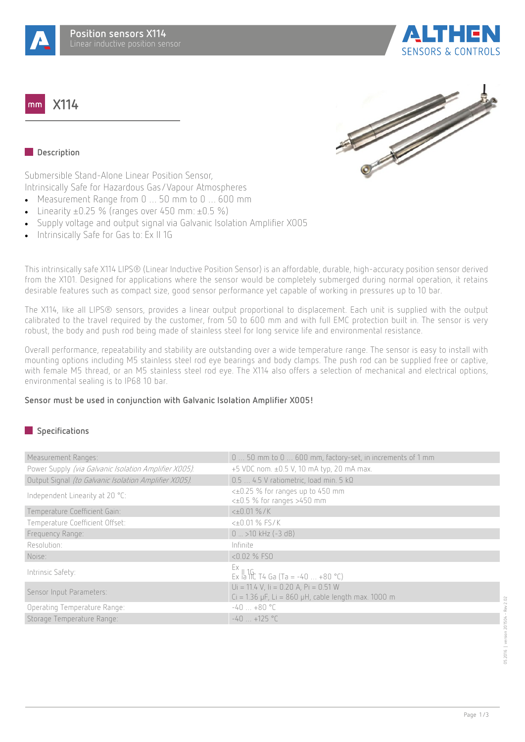

**X114**  $mm$ 





## **Description**

Submersible Stand-Alone Linear Position Sensor, Intrinsically Safe for Hazardous Gas/Vapour Atmospheres

- · Measurement Range from 0 … 50 mm to 0 … 600 mm
- Linearity  $\pm 0.25$  % (ranges over 450 mm:  $\pm 0.5$  %)
- · Supply voltage and output signal via Galvanic Isolation Amplifier X005
- Intrinsically Safe for Gas to: Ex II 1G

This intrinsically safe X114 LIPS® (Linear Inductive Position Sensor) is an affordable, durable, high-accuracy position sensor derived from the X101. Designed for applications where the sensor would be completely submerged during normal operation, it retains desirable features such as compact size, good sensor performance yet capable of working in pressures up to 10 bar.

The X114, like all LIPS® sensors, provides a linear output proportional to displacement. Each unit is supplied with the output calibrated to the travel required by the customer, from 50 to 600 mm and with full EMC protection built in. The sensor is very robust, the body and push rod being made of stainless steel for long service life and environmental resistance.

Overall performance, repeatability and stability are outstanding over a wide temperature range. The sensor is easy to install with mounting options including M5 stainless steel rod eye bearings and body clamps. The push rod can be supplied free or captive, with female M5 thread, or an M5 stainless steel rod eye. The X114 also offers a selection of mechanical and electrical options, environmental sealing is to IP68 10 bar.

#### **Sensor must be used in conjunction with Galvanic Isolation Amplifier X005!**

# **Specifications**

| Measurement Ranges:                                   | 0  50 mm to 0  600 mm, factory-set, in increments of 1 mm                                        |
|-------------------------------------------------------|--------------------------------------------------------------------------------------------------|
| Power Supply (via Galvanic Isolation Amplifier X005). | +5 VDC nom. ±0.5 V, 10 mA typ, 20 mA max.                                                        |
| Output Signal (to Galvanic Isolation Amplifier X005). | $0.54.5$ V ratiometric, load min. 5 k $\Omega$                                                   |
| Independent Linearity at 20 °C:                       | <±0.25 % for ranges up to 450 mm<br><±0.5 % for ranges >450 mm                                   |
| Temperature Coefficient Gain:                         | $<\pm 0.01\%$ /K                                                                                 |
| Temperature Coefficient Offset:                       | $<\pm 0.01$ % FS/K                                                                               |
| Frequency Range:                                      | $0$ > 10 kHz (-3 dB)                                                                             |
| Resolution:                                           | Infinite                                                                                         |
| Noise:                                                | <0.02 % FSO                                                                                      |
| Intrinsic Safety:                                     | Ex<br>Ex la llC T4 Ga (Ta = -40  +80 °C)                                                         |
| Sensor Input Parameters:                              | $Ui = 11.4 V, li = 0.20 A, Pi = 0.51 W$<br>$Ci = 1.36$ µF, Li = 860 µH, cable length max. 1000 m |
| Operating Temperature Range:                          | $-40+80$ °C                                                                                      |
| Storage Temperature Range:                            | $-40 + 125$ °C                                                                                   |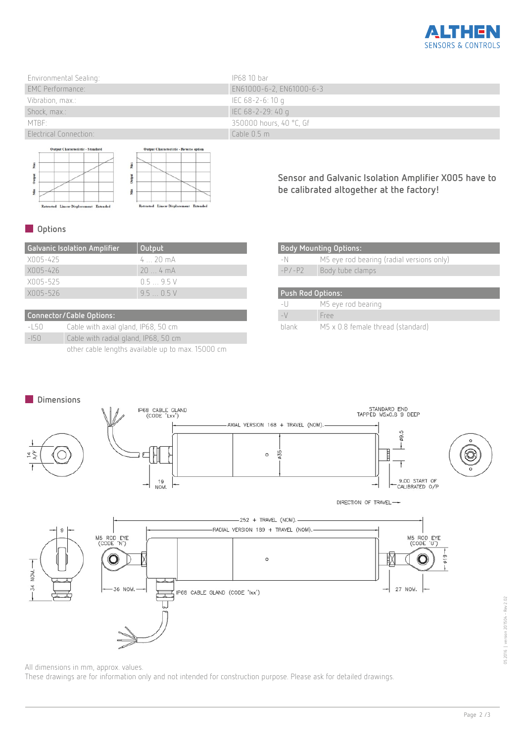

| Environmental Sealing:  | IP68 10 bar                   |
|-------------------------|-------------------------------|
| <b>EMC Performance:</b> | EN61000-6-2, EN61000-6-3      |
| Vibration, max.:        | IEC 68-2-6:10 g               |
| Shock, max.:            | $\parallel$ IEC 68-2-29: 40 g |
| MTBE:                   | 350000 hours, 40 °C, Gf       |
| Electrical Connection:  | Cable $0.5 \text{ m}$         |

stput Ch  $-5t$ Max Max Output Output king<br>Alan Ma Retracted Linear Displacement Exten  $Re$ ted Linear Displacement Extended

**Sensor and Galvanic Isolation Amplifier X005 have to be calibrated altogether at the factory!**

# **Options**

| <b>Galvanic Isolation Amplifier</b> | Output            |
|-------------------------------------|-------------------|
| XNN5-425                            | $4.70 \text{ mA}$ |
| XN05-426                            | $204 \text{ mA}$  |
| X005-525                            | $0.5 - 9.5$ V     |
| XNN5-526                            | 95 N.S.V          |

| Connector/Cable Options: |                                                   |  |
|--------------------------|---------------------------------------------------|--|
| $-15()$                  | Cable with axial gland, IP68, 50 cm               |  |
| $-150$                   | Cable with radial gland, IP68, 50 cm              |  |
|                          | other cable lengths available up to max. 15000 cm |  |

| <b>Body Mounting Options:</b> |                                           |
|-------------------------------|-------------------------------------------|
| -N                            | M5 eye rod bearing (radial versions only) |
| $-P/-P2$                      | Body tube clamps                          |
|                               |                                           |
| <b>Push Rod Options:</b>      |                                           |
|                               |                                           |
| $-1$                          | M5 eye rod bearing                        |
| $-\vee$                       | Free                                      |



All dimensions in mm, approx. values.

These drawings are for information only and not intended for construction purpose. Please ask for detailed drawings.